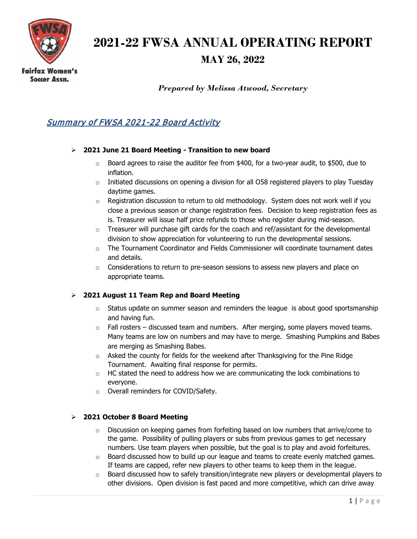

# **2021-22 FWSA ANNUAL OPERATING REPORT**

## **MAY 26, 2022**

**Soccer Assn.** 

*Prepared by Melissa Atwood, Secretary*

### Summary of FWSA 2021-22 Board Activity

#### **2021 June 21 Board Meeting - Transition to new board**

- $\circ$  Board agrees to raise the auditor fee from \$400, for a two-year audit, to \$500, due to inflation.
- $\circ$  Initiated discussions on opening a division for all O58 registered players to play Tuesday daytime games.
- $\circ$  Registration discussion to return to old methodology. System does not work well if you close a previous season or change registration fees. Decision to keep registration fees as is. Treasurer will issue half price refunds to those who register during mid-season.
- $\circ$  Treasurer will purchase gift cards for the coach and ref/assistant for the developmental division to show appreciation for volunteering to run the developmental sessions.
- $\circ$  The Tournament Coordinator and Fields Commissioner will coordinate tournament dates and details.
- $\circ$  Considerations to return to pre-season sessions to assess new players and place on appropriate teams.

#### **2021 August 11 Team Rep and Board Meeting**

- $\circ$  Status update on summer season and reminders the league is about good sportsmanship and having fun.
- $\circ$  Fall rosters discussed team and numbers. After merging, some players moved teams. Many teams are low on numbers and may have to merge. Smashing Pumpkins and Babes are merging as Smashing Babes.
- o Asked the county for fields for the weekend after Thanksgiving for the Pine Ridge Tournament. Awaiting final response for permits.
- $\circ$  HC stated the need to address how we are communicating the lock combinations to everyone.
- o Overall reminders for COVID/Safety.

#### **2021 October 8 Board Meeting**

- $\circ$  Discussion on keeping games from forfeiting based on low numbers that arrive/come to the game. Possibility of pulling players or subs from previous games to get necessary numbers. Use team players when possible, but the goal is to play and avoid forfeitures.
- $\circ$  Board discussed how to build up our league and teams to create evenly matched games. If teams are capped, refer new players to other teams to keep them in the league.
- o Board discussed how to safely transition/integrate new players or developmental players to other divisions. Open division is fast paced and more competitive, which can drive away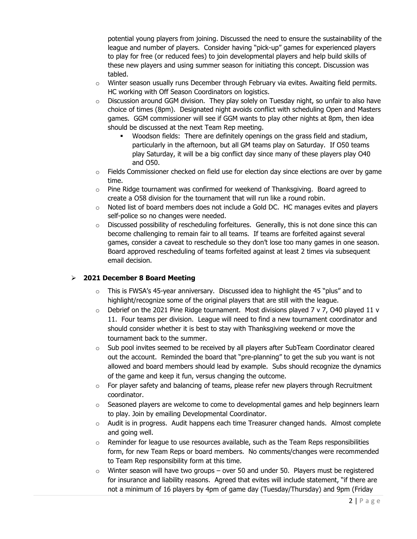potential young players from joining. Discussed the need to ensure the sustainability of the league and number of players. Consider having "pick-up" games for experienced players to play for free (or reduced fees) to join developmental players and help build skills of these new players and using summer season for initiating this concept. Discussion was tabled.

- $\circ$  Winter season usually runs December through February via evites. Awaiting field permits. HC working with Off Season Coordinators on logistics.
- o Discussion around GGM division. They play solely on Tuesday night, so unfair to also have choice of times (8pm). Designated night avoids conflict with scheduling Open and Masters games. GGM commissioner will see if GGM wants to play other nights at 8pm, then idea should be discussed at the next Team Rep meeting.
	- Woodson fields: There are definitely openings on the grass field and stadium, particularly in the afternoon, but all GM teams play on Saturday. If O50 teams play Saturday, it will be a big conflict day since many of these players play O40 and O50.
- $\circ$  Fields Commissioner checked on field use for election day since elections are over by game time.
- $\circ$  Pine Ridge tournament was confirmed for weekend of Thanksgiving. Board agreed to create a O58 division for the tournament that will run like a round robin.
- o Noted list of board members does not include a Gold DC. HC manages evites and players self-police so no changes were needed.
- $\circ$  Discussed possibility of rescheduling forfeitures. Generally, this is not done since this can become challenging to remain fair to all teams. If teams are forfeited against several games, consider a caveat to reschedule so they don't lose too many games in one season. Board approved rescheduling of teams forfeited against at least 2 times via subsequent email decision.

#### **2021 December 8 Board Meeting**

- $\circ$  This is FWSA's 45-year anniversary. Discussed idea to highlight the 45 "plus" and to highlight/recognize some of the original players that are still with the league.
- $\circ$  Debrief on the 2021 Pine Ridge tournament. Most divisions played 7 v 7, O40 played 11 v 11. Four teams per division. League will need to find a new tournament coordinator and should consider whether it is best to stay with Thanksgiving weekend or move the tournament back to the summer.
- o Sub pool invites seemed to be received by all players after SubTeam Coordinator cleared out the account. Reminded the board that "pre-planning" to get the sub you want is not allowed and board members should lead by example. Subs should recognize the dynamics of the game and keep it fun, versus changing the outcome.
- $\circ$  For player safety and balancing of teams, please refer new players through Recruitment coordinator.
- $\circ$  Seasoned players are welcome to come to developmental games and help beginners learn to play. Join by emailing Developmental Coordinator.
- o Audit is in progress. Audit happens each time Treasurer changed hands. Almost complete and going well.
- $\circ$  Reminder for league to use resources available, such as the Team Reps responsibilities form, for new Team Reps or board members. No comments/changes were recommended to Team Rep responsibility form at this time.
- $\circ$  Winter season will have two groups over 50 and under 50. Players must be registered for insurance and liability reasons. Agreed that evites will include statement, "if there are not a minimum of 16 players by 4pm of game day (Tuesday/Thursday) and 9pm (Friday